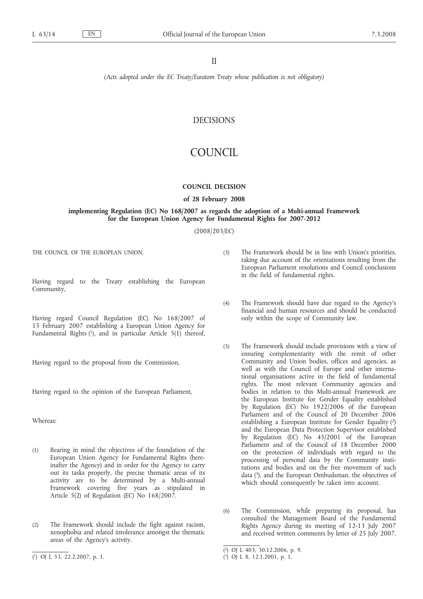II

*(Acts adopted under the EC Treaty/Euratom Treaty whose publication is not obligatory)*

# DECISIONS

# COUNCIL

## **COUNCIL DECISION**

#### **of 28 February 2008**

### **implementing Regulation (EC) No 168/2007 as regards the adoption of a Multi-annual Framework for the European Union Agency for Fundamental Rights for 2007-2012**

# (2008/203/EC)

THE COUNCIL OF THE EUROPEAN UNION,

Having regard to the Treaty establishing the European Community,

Having regard Council Regulation (EC) No 168/2007 of 15 February 2007 establishing a European Union Agency for Fundamental Rights  $(1)$ , and in particular Article  $5(1)$  thereof,

Having regard to the proposal from the Commission,

Having regard to the opinion of the European Parliament,

Whereas:

- (1) Bearing in mind the objectives of the foundation of the European Union Agency for Fundamental Rights (hereinafter the Agency) and in order for the Agency to carry out its tasks properly, the precise thematic areas of its activity are to be determined by a Multi-annual Framework covering five years as stipulated in Article 5(2) of Regulation (EC) No 168/2007.
- (2) The Framework should include the fight against racism, xenophobia and related intolerance amongst the thematic areas of the Agency's activity.
- ( 1) OJ L 53, 22.2.2007, p. 1.
- (3) The Framework should be in line with Union's priorities, taking due account of the orientations resulting from the European Parliament resolutions and Council conclusions in the field of fundamental rights.
- (4) The Framework should have due regard to the Agency's financial and human resources and should be conducted only within the scope of Community law.
- (5) The Framework should include provisions with a view of ensuring complementarity with the remit of other Community and Union bodies, offices and agencies, as well as with the Council of Europe and other international organisations active in the field of fundamental rights. The most relevant Community agencies and bodies in relation to this Multi-annual Framework are the European Institute for Gender Equality established by Regulation (EC) No 1922/2006 of the European Parliament and of the Council of 20 December 2006 establishing a European Institute for Gender Equality (2) and the European Data Protection Supervisor established by Regulation (EC) No 45/2001 of the European Parliament and of the Council of 18 December 2000 on the protection of individuals with regard to the processing of personal data by the Community institutions and bodies and on the free movement of such data  $(3)$ , and the European Ombudsman, the objectives of which should consequently be taken into account.
- (6) The Commission, while preparing its proposal, has consulted the Management Board of the Fundamental Rights Agency during its meeting of 12-13 July 2007 and received written comments by letter of 25 July 2007.

<sup>(</sup> 2) OJ L 403, 30.12.2006, p. 9.

<sup>(</sup> 3) OJ L 8, 12.1.2001, p. 1.